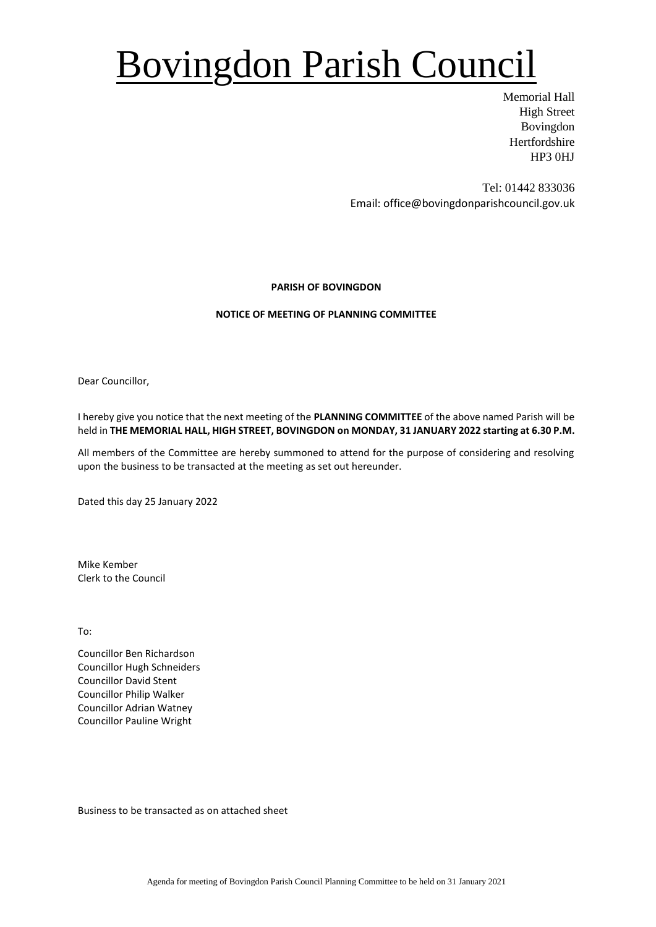# Bovingdon Parish Council

Memorial Hall High Street Bovingdon Hertfordshire HP3 0HJ

Tel: 01442 833036 Email: office@bovingdonparishcouncil.gov.uk

### **PARISH OF BOVINGDON**

### **NOTICE OF MEETING OF PLANNING COMMITTEE**

Dear Councillor,

I hereby give you notice that the next meeting of the **PLANNING COMMITTEE** of the above named Parish will be held in **THE MEMORIAL HALL, HIGH STREET, BOVINGDON on MONDAY, 31 JANUARY 2022 starting at 6.30 P.M.**

All members of the Committee are hereby summoned to attend for the purpose of considering and resolving upon the business to be transacted at the meeting as set out hereunder.

Dated this day 25 January 2022

Mike Kember Clerk to the Council

To:

Councillor Ben Richardson Councillor Hugh Schneiders Councillor David Stent Councillor Philip Walker Councillor Adrian Watney Councillor Pauline Wright

Business to be transacted as on attached sheet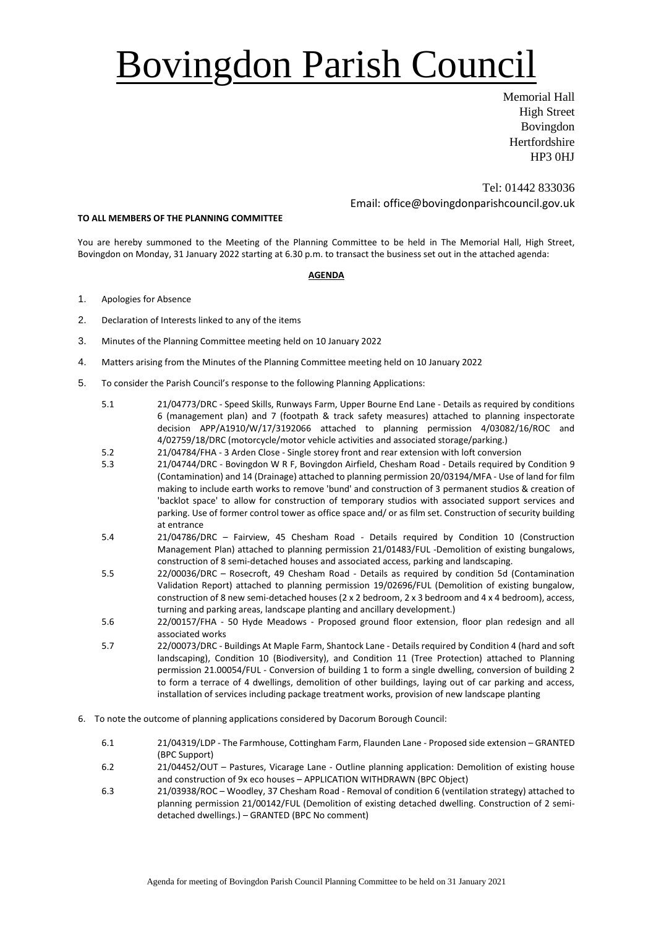# Bovingdon Parish Council

Memorial Hall High Street Bovingdon **Hertfordshire** HP3 0HJ

Tel: 01442 833036 Email: office@bovingdonparishcouncil.gov.uk

#### **TO ALL MEMBERS OF THE PLANNING COMMITTEE**

You are hereby summoned to the Meeting of the Planning Committee to be held in The Memorial Hall, High Street, Bovingdon on Monday, 31 January 2022 starting at 6.30 p.m. to transact the business set out in the attached agenda:

#### **AGENDA**

- 1. Apologies for Absence
- 2. Declaration of Interests linked to any of the items
- 3. Minutes of the Planning Committee meeting held on 10 January 2022
- 4. Matters arising from the Minutes of the Planning Committee meeting held on 10 January 2022
- 5. To consider the Parish Council's response to the following Planning Applications:
	- 5.1 21/04773/DRC Speed Skills, Runways Farm, Upper Bourne End Lane Details as required by conditions 6 (management plan) and 7 (footpath & track safety measures) attached to planning inspectorate decision APP/A1910/W/17/3192066 attached to planning permission 4/03082/16/ROC and 4/02759/18/DRC (motorcycle/motor vehicle activities and associated storage/parking.)
	- 5.2 21/04784/FHA 3 Arden Close Single storey front and rear extension with loft conversion<br>5.3 21/04744/DRC Bovingdon W R F. Bovingdon Airfield. Chesham Road Details required by
	- 5.3 21/04744/DRC Bovingdon W R F, Bovingdon Airfield, Chesham Road Details required by Condition 9 (Contamination) and 14 (Drainage) attached to planning permission 20/03194/MFA - Use of land for film making to include earth works to remove 'bund' and construction of 3 permanent studios & creation of 'backlot space' to allow for construction of temporary studios with associated support services and parking. Use of former control tower as office space and/ or as film set. Construction of security building at entrance
	- 5.4 21/04786/DRC Fairview, 45 Chesham Road Details required by Condition 10 (Construction Management Plan) attached to planning permission 21/01483/FUL -Demolition of existing bungalows, construction of 8 semi-detached houses and associated access, parking and landscaping.
	- 5.5 22/00036/DRC Rosecroft, 49 Chesham Road Details as required by condition 5d (Contamination Validation Report) attached to planning permission 19/02696/FUL (Demolition of existing bungalow, construction of 8 new semi-detached houses (2 x 2 bedroom, 2 x 3 bedroom and 4 x 4 bedroom), access, turning and parking areas, landscape planting and ancillary development.)
	- 5.6 22/00157/FHA 50 Hyde Meadows Proposed ground floor extension, floor plan redesign and all associated works
	- 5.7 22/00073/DRC Buildings At Maple Farm, Shantock Lane Details required by Condition 4 (hard and soft landscaping), Condition 10 (Biodiversity), and Condition 11 (Tree Protection) attached to Planning permission 21.00054/FUL - Conversion of building 1 to form a single dwelling, conversion of building 2 to form a terrace of 4 dwellings, demolition of other buildings, laying out of car parking and access, installation of services including package treatment works, provision of new landscape planting
- 6. To note the outcome of planning applications considered by Dacorum Borough Council:
	- 6.1 21/04319/LDP The Farmhouse, Cottingham Farm, Flaunden Lane Proposed side extension GRANTED (BPC Support)
	- 6.2 21/04452/OUT Pastures, Vicarage Lane Outline planning application: Demolition of existing house and construction of 9x eco houses – APPLICATION WITHDRAWN (BPC Object)
	- 6.3 21/03938/ROC Woodley, 37 Chesham Road Removal of condition 6 (ventilation strategy) attached to planning permission 21/00142/FUL (Demolition of existing detached dwelling. Construction of 2 semidetached dwellings.) – GRANTED (BPC No comment)